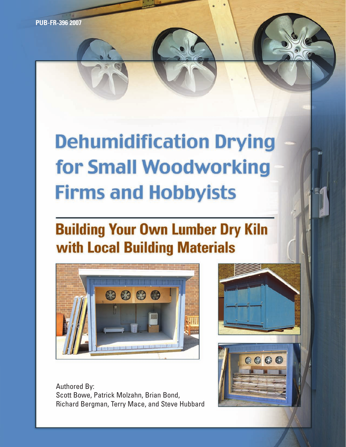**PUB-FR-396 2007**

# **Dehumidification Drying** for Small Woodworking **Firms and Hobbyists**

## **Building Your Own Lumber Dry Kiln with Local Building Materials**



Authored By: Scott Bowe, Patrick Molzahn, Brian Bond, Richard Bergman, Terry Mace, and Steve Hubbard

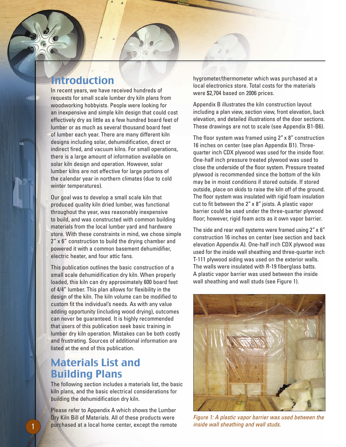## Introduction

In recent years, we have received hundreds of requests for small scale lumber dry kiln plans from woodworking hobbyists. People were looking for an inexpensive and simple kiln design that could cost effectively dry as little as a few hundred board feet of lumber or as much as several thousand board feet of lumber each year. There are many different kiln designs including solar, dehumidification, direct or indirect fired, and vacuum kilns. For small operations, there is a large amount of information available on solar kiln design and operation. However, solar lumber kilns are not effective for large portions of the calendar year in northern climates (due to cold winter temperatures).

Our goal was to develop a small scale kiln that produced quality kiln dried lumber, was functional throughout the year, was reasonably inexpensive to build, and was constructed with common building materials from the local lumber yard and hardware store. With these constraints in mind, we chose simple 2" x 6" construction to build the drying chamber and powered it with a common basement dehumidifier, electric heater, and four attic fans.

This publication outlines the basic construction of a small scale dehumidification dry kiln. When properly loaded, this kiln can dry approximately 600 board feet of 4/4" lumber. This plan allows for flexibility in the design of the kiln. The kiln volume can be modified to custom fit the individual's needs. As with any value adding opportunity (including wood drying), outcomes can never be guaranteed. It is highly recommended that users of this publication seek basic training in lumber dry kiln operation. Mistakes can be both costly and frustrating. Sources of additional information are listed at the end of this publication.

## Materials List and Building Plans

The following section includes a materials list, the basic kiln plans, and the basic electrical considerations for building the dehumidification dry kiln.

Please refer to Appendix A which shows the Lumber Dry Kiln Bill of Materials. All of these products were purchased at a local home center, except the remote hygrometer/thermometer which was purchased at a local electronics store. Total costs for the materials were \$2,704 based on 2006 prices.

Appendix B illustrates the kiln construction layout including a plan view, section view, front elevation, back elevation, and detailed illustrations of the door sections. These drawings are not to scale (see Appendix B1-B6).

The floor system was framed using 2" x 8" construction 16 inches on center (see plan Appendix B1). Threequarter inch CDX plywood was used for the inside floor. One-half inch pressure treated plywood was used to close the underside of the floor system. Pressure treated plywood is recommended since the bottom of the kiln may be in moist conditions if stored outside. If stored outside, place on skids to raise the kiln off of the ground. The floor system was insulated with rigid foam insulation cut to fit between the 2" x 8" joists. A plastic vapor barrier could be used under the three-quarter plywood floor; however, rigid foam acts as it own vapor barrier.

The side and rear wall systems were framed using 2" x 6" construction 16 inches on center (see section and back elevation Appendix A). One-half inch CDX plywood was used for the inside wall sheathing and three-quarter inch T-111 plywood siding was used on the exterior walls. The walls were insulated with R-19 fiberglass batts. A plastic vapor barrier was used between the inside wall sheathing and wall studs (see Figure 1).



*Figure 1: A plastic vapor barrier was used between the inside wall sheathing and wall studs.*

1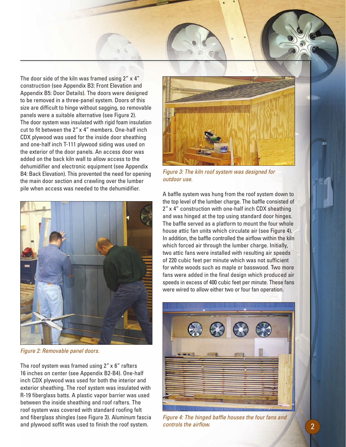

The door side of the kiln was framed using  $2'' \times 4''$ construction (see Appendix B3: Front Elevation and Appendix B5: Door Details). The doors were designed to be removed in a three-panel system. Doors of this size are difficult to hinge without sagging, so removable panels were a suitable alternative (see Figure 2). The door system was insulated with rigid foam insulation cut to fit between the 2" x 4" members. One-half inch CDX plywood was used for the inside door sheathing and one-half inch T-111 plywood siding was used on the exterior of the door panels. An access door was added on the back kiln wall to allow access to the dehumidifier and electronic equipment (see Appendix B4: Back Elevation). This prevented the need for opening the main door section and crawling over the lumber pile when access was needed to the dehumidifier.



*Figure 2: Removable panel doors.*

The roof system was framed using 2" x 6" rafters 16 inches on center (see Appendix B2-B4). One-half inch CDX plywood was used for both the interior and exterior sheathing. The roof system was insulated with R-19 fiberglass batts. A plastic vapor barrier was used between the inside sheathing and roof rafters. The roof system was covered with standard roofing felt and fiberglass shingles (see Figure 3). Aluminum fascia and plywood soffit was used to finish the roof system.



*Figure 3: The kiln roof system was designed for outdoor use.*

A baffle system was hung from the roof system down to the top level of the lumber charge. The baffle consisted of 2" x 4" construction with one-half inch CDX sheathing and was hinged at the top using standard door hinges. The baffle served as a platform to mount the four whole house attic fan units which circulate air (see Figure 4). In addition, the baffle controlled the airflow within the kiln which forced air through the lumber charge. Initially, two attic fans were installed with resulting air speeds of 220 cubic feet per minute which was not sufficient for white woods such as maple or basswood. Two more fans were added in the final design which produced air speeds in excess of 400 cubic feet per minute. These fans were wired to allow either two or four fan operation.



*Figure 4: The hinged baffle houses the four fans and controls the airflow.*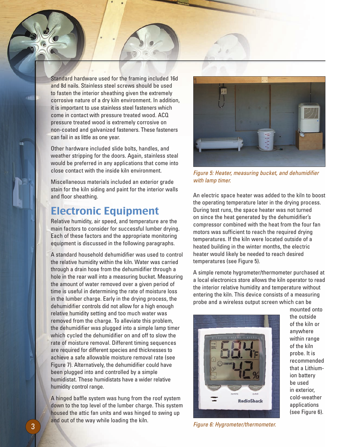Standard hardware used for the framing included 16d and 8d nails. Stainless steel screws should be used to fasten the interior sheathing given the extremely corrosive nature of a dry kiln environment. In addition, it is important to use stainless steel fasteners which come in contact with pressure treated wood. ACQ pressure treated wood is extremely corrosive on non-coated and galvanized fasteners. These fasteners can fail in as little as one year.

Other hardware included slide bolts, handles, and weather stripping for the doors. Again, stainless steal would be preferred in any applications that come into close contact with the inside kiln environment.

Miscellaneous materials included an exterior grade stain for the kiln siding and paint for the interior walls and floor sheathing.

## Electronic Equipment

Relative humidity, air speed, and temperature are the main factors to consider for successful lumber drying. Each of these factors and the appropriate monitoring equipment is discussed in the following paragraphs.

A standard household dehumidifier was used to control the relative humidity within the kiln. Water was carried through a drain hose from the dehumidifier through a hole in the rear wall into a measuring bucket. Measuring the amount of water removed over a given period of time is useful in determining the rate of moisture loss in the lumber charge. Early in the drying process, the dehumidifier controls did not allow for a high enough relative humidity setting and too much water was removed from the charge. To alleviate this problem, the dehumidifier was plugged into a simple lamp timer which cycled the dehumidifier on and off to slow the rate of moisture removal. Different timing sequences are required for different species and thicknesses to achieve a safe allowable moisture removal rate (see Figure 7). Alternatively, the dehumidifier could have been plugged into and controlled by a simple humidistat. These humidistats have a wider relative humidity control range.

A hinged baffle system was hung from the roof system down to the top level of the lumber charge. This system housed the attic fan units and was hinged to swing up and out of the way while loading the kiln.



*Figure 5: Heater, measuring bucket, and dehumidifier with lamp timer.*

An electric space heater was added to the kiln to boost the operating temperature later in the drying process. During test runs, the space heater was not turned on since the heat generated by the dehumidifier's compressor combined with the heat from the four fan motors was sufficient to reach the required drying temperatures. If the kiln were located outside of a heated building in the winter months, the electric heater would likely be needed to reach desired temperatures (see Figure 5).

A simple remote hygrometer/thermometer purchased at a local electronics store allows the kiln operator to read the interior relative humidity and temperature without entering the kiln. This device consists of a measuring probe and a wireless output screen which can be



mounted onto the outside of the kiln or anywhere within range of the kiln probe. It is recommended that a Lithiumion battery be used in exterior, cold-weather applications (see Figure 6).

*Figure 6: Hygrometer/thermometer.*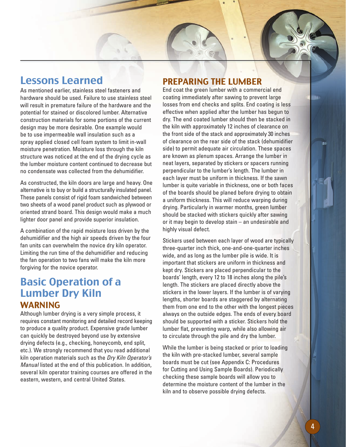## Lessons Learned

As mentioned earlier, stainless steel fasteners and hardware should be used. Failure to use stainless steel will result in premature failure of the hardware and the potential for stained or discolored lumber. Alternative construction materials for some portions of the current design may be more desirable. One example would be to use impermeable wall insulation such as a spray applied closed cell foam system to limit in-wall moisture penetration. Moisture loss through the kiln structure was noticed at the end of the drying cycle as the lumber moisture content continued to decrease but no condensate was collected from the dehumidifier.

As constructed, the kiln doors are large and heavy. One alternative is to buy or build a structurally insulated panel. These panels consist of rigid foam sandwiched between two sheets of a wood panel product such as plywood or oriented strand board. This design would make a much lighter door panel and provide superior insulation.

A combination of the rapid moisture loss driven by the dehumidifier and the high air speeds driven by the four fan units can overwhelm the novice dry kiln operator. Limiting the run time of the dehumidifier and reducing the fan operation to two fans will make the kiln more forgiving for the novice operator.

## Basic Operation of a Lumber Dry Kiln WARNING

Although lumber drying is a very simple process, it requires constant monitoring and detailed record keeping to produce a quality product. Expensive grade lumber can quickly be destroyed beyond use by extensive drying defects (e.g., checking, honeycomb, end split, etc.). We strongly recommend that you read additional kiln operation materials such as the *Dry Kiln Operator's Manual* listed at the end of this publication. In addition, several kiln operator training courses are offered in the eastern, western, and central United States.

## PREPARING THE LUMBER

End coat the green lumber with a commercial end coating immediately after sawing to prevent large losses from end checks and splits. End coating is less effective when applied after the lumber has begun to dry. The end coated lumber should then be stacked in the kiln with approximately 12 inches of clearance on the front side of the stack and approximately 30 inches of clearance on the rear side of the stack (dehumidifier side) to permit adequate air circulation. These spaces are known as plenum spaces. Arrange the lumber in neat layers, separated by stickers or spacers running perpendicular to the lumber's length. The lumber in each layer must be uniform in thickness. If the sawn lumber is quite variable in thickness, one or both faces of the boards should be planed before drying to obtain a uniform thickness. This will reduce warping during drying. Particularly in warmer months, green lumber should be stacked with stickers quickly after sawing or it may begin to develop stain – an undesirable and highly visual defect.

Stickers used between each layer of wood are typically three-quarter inch thick, one-and-one-quarter inches wide, and as long as the lumber pile is wide. It is important that stickers are uniform in thickness and kept dry. Stickers are placed perpendicular to the boards' length, every 12 to 18 inches along the pile's length. The stickers are placed directly above the stickers in the lower layers. If the lumber is of varying lengths, shorter boards are staggered by alternating them from one end to the other with the longest pieces always on the outside edges. The ends of every board should be supported with a sticker. Stickers hold the lumber flat, preventing warp, while also allowing air to circulate through the pile and dry the lumber.

While the lumber is being stacked or prior to loading the kiln with pre-stacked lumber, several sample boards must be cut (see Appendix C: Procedures for Cutting and Using Sample Boards). Periodically checking these sample boards will allow you to determine the moisture content of the lumber in the kiln and to observe possible drying defects.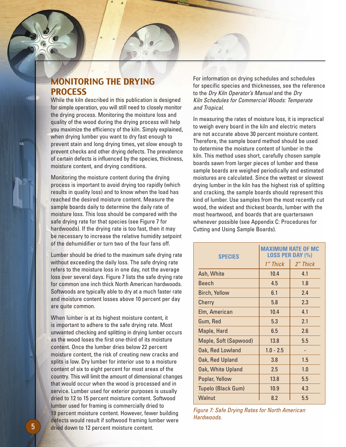#### MONITORING THE DRYING **PROCESS**

While the kiln described in this publication is designed for simple operation, you will still need to closely monitor the drying process. Monitoring the moisture loss and quality of the wood during the drying process will help you maximize the efficiency of the kiln. Simply explained, when drying lumber you want to dry fast enough to prevent stain and long drying times, yet slow enough to prevent checks and other drying defects. The prevalence of certain defects is influenced by the species, thickness, moisture content, and drying conditions.

Monitoring the moisture content during the drying process is important to avoid drying too rapidly (which results in quality loss) and to know when the load has reached the desired moisture content. Measure the sample boards daily to determine the daily rate of moisture loss. This loss should be compared with the safe drying rate for that species (see Figure 7 for hardwoods). If the drying rate is too fast, then it may be necessary to increase the relative humidity setpoint of the dehumidifier or turn two of the four fans off.

Lumber should be dried to the maximum safe drying rate without exceeding the daily loss. The safe drying rate refers to the moisture loss in one day, not the average loss over several days. Figure 7 lists the safe drying rate for common one inch thick North American hardwoods. Softwoods are typically able to dry at a much faster rate and moisture content losses above 10 percent per day are quite common.

When lumber is at its highest moisture content, it is important to adhere to the safe drying rate. Most unwanted checking and splitting in drying lumber occurs as the wood loses the first one-third of its moisture content. Once the lumber dries below 22 percent moisture content, the risk of creating new cracks and splits is low. Dry lumber for interior use to a moisture content of six to eight percent for most areas of the country. This will limit the amount of dimensional changes that would occur when the wood is processed and in service. Lumber used for exterior purposes is usually dried to 12 to 15 percent moisture content. Softwood lumber used for framing is commercially dried to 19 percent moisture content. However, fewer building defects would result if softwood framing lumber were 5 dried down to 12 percent moisture content.

For information on drying schedules and schedules for specific species and thicknesses, see the reference to the *Dry Kiln Operator's Manual* and the *Dry Kiln Schedules for Commercial Woods: Temperate and Tropical*.

In measuring the rates of moisture loss, it is impractical to weigh every board in the kiln and electric meters are not accurate above 30 percent moisture content. Therefore, the sample board method should be used to determine the moisture content of lumber in the kiln. This method uses short, carefully chosen sample boards sawn from larger pieces of lumber and these sample boards are weighed periodically and estimated moistures are calculated. Since the wettest or slowest drying lumber in the kiln has the highest risk of splitting and cracking, the sample boards should represent this kind of lumber. Use samples from the most recently cut wood, the widest and thickest boards, lumber with the most heartwood, and boards that are quartersawn whenever possible (see Appendix C: Procedures for Cutting and Using Sample Boards).

| <b>SPECIES</b>        | <b>MAXIMUM RATE OF MC</b><br><b>LOSS PER DAY (%)</b> |          |  |  |
|-----------------------|------------------------------------------------------|----------|--|--|
|                       | 1" Thick                                             | 2" Thick |  |  |
| Ash, White            | 10.4                                                 | 4.1      |  |  |
| <b>Beech</b>          | 4.5                                                  | 1.8      |  |  |
| Birch, Yellow         | 6.1                                                  | 2.4      |  |  |
| Cherry                | 5.8                                                  | 2.3      |  |  |
| Elm, American         | 10.4                                                 | 4.1      |  |  |
| Gum, Red              | 5.3                                                  | 2.1      |  |  |
| Maple, Hard           | 6.5                                                  | 2.6      |  |  |
| Maple, Soft (Sapwood) | 13.8                                                 | 5.5      |  |  |
| Oak, Red Lowland      | $1.0 - 2.5$                                          |          |  |  |
| Oak, Red Upland       | 3.8                                                  | 1.5      |  |  |
| Oak, White Upland     | 2.5                                                  | 1.0      |  |  |
| Poplar, Yellow        | 13.8                                                 | 5.5      |  |  |
| Tupelo (Black Gum)    | 10.9                                                 | 4.3      |  |  |
| Walnut                | 8.2                                                  | 5.5      |  |  |

*Figure 7: Safe Drying Rates for North American Hardwoods.*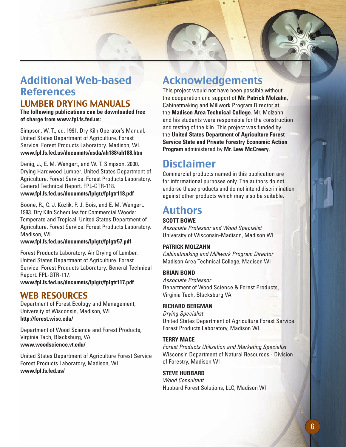## Additional Web-based **References**

#### LUMBER DRYING MANUALS

**The following publications can be downloaded free of charge from www.fpl.fs.fed.us:**

Simpson, W. T., ed. 1991. Dry Kiln Operator's Manual. United States Department of Agriculture. Forest Service. Forest Products Laboratory. Madison, WI. **www.fpl.fs.fed.us/documnts/usda/ah188/ah188.htm**

Denig, J., E. M. Wengert, and W. T. Simpson. 2000. Drying Hardwood Lumber. United States Department of Agriculture. Forest Service. Forest Products Laboratory. General Technical Report. FPL-GTR-118.

#### **www.fpl.fs.fed.us/documnts/fplgtr/fplgtr118.pdf**

Boone, R., C. J. Kozlik, P. J. Bois, and E. M. Wengert. 1993. Dry Kiln Schedules for Commercial Woods: Temperate and Tropical. United States Department of Agriculture. Forest Service. Forest Products Laboratory. Madison, WI.

#### **www.fpl.fs.fed.us/documnts/fplgtr/fplgtr57.pdf**

Forest Products Laboratory. Air Drying of Lumber. United States Department of Agriculture. Forest Service. Forest Products Laboratory. General Technical Report. FPL-GTR-117. **www.fpl.fs.fed.us/documnts/fplgtr/fplgtr117.pdf**

#### WEB RESOURCES

Department of Forest Ecology and Management, University of Wisconsin, Madison, WI **http://forest.wisc.edu/**

Department of Wood Science and Forest Products, Virginia Tech, Blacksburg, VA **www.woodscience.vt.edu/**

United States Department of Agriculture Forest Service Forest Products Laboratory, Madison, WI **www.fpl.fs.fed.us/**

## Acknowledgements

This project would not have been possible without the cooperation and support of **Mr. Patrick Molzahn**, Cabinetmaking and Millwork Program Director at the **Madison Area Technical College**. Mr. Molzahn and his students were responsible for the construction and testing of the kiln. This project was funded by the **United States Department of Agriculture Forest Service State and Private Forestry Economic Action Program** administered by **Mr. Lew McCreery**.

## **Disclaimer**

Commercial products named in this publication are for informational purposes only. The authors do not endorse these products and do not intend discrimination against other products which may also be suitable.

## Authors

#### **SCOTT BOWE**

*Associate Professor and Wood Specialist* University of Wisconsin-Madison, Madison WI

#### **PATRICK MOLZAHN**

*Cabinetmaking and Millwork Program Director* Madison Area Technical College, Madison WI

#### **BRIAN BOND**

*Associate Professor* Department of Wood Science & Forest Products, Virginia Tech, Blacksburg VA

#### **RICHARD BERGMAN**

*Drying Specialist* United States Department of Agriculture Forest Service Forest Products Laboratory, Madison WI

#### **TERRY MACE**

*Forest Products Utilization and Marketing Specialist* Wisconsin Department of Natural Resources - Division of Forestry, Madison WI

#### **STEVE HUBBARD**

*Wood Consultant* Hubbard Forest Solutions, LLC, Madison WI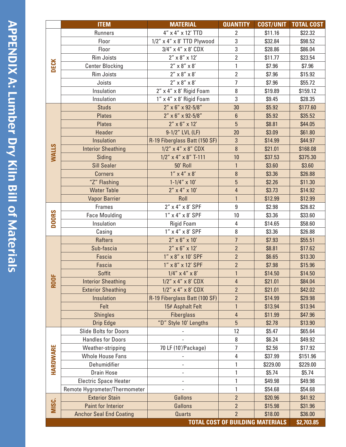|                         | <b>ITEM</b>                    | <b>MATERIAL</b>                                   | <b>QUANTITY</b>                         | <b>COST/UNIT</b>   | <b>TOTAL COST</b>  |
|-------------------------|--------------------------------|---------------------------------------------------|-----------------------------------------|--------------------|--------------------|
| <b>DECK</b>             | <b>Runners</b>                 | 4" x 4" x 12' TTD                                 | 2                                       | \$11.16            | \$22.32            |
|                         | Floor                          | $1/2$ " x 4" x 8' TTD Plywood                     | 3                                       | \$32.84            | \$98.52            |
|                         | Floor                          | $3/4$ " x 4" x 8' CDX                             | 3                                       | \$28.86            | \$86.04            |
|                         | <b>Rim Joists</b>              | $2'' \times 8'' \times 12'$                       | $\overline{2}$                          | \$11.77            | \$23.54            |
|                         | <b>Center Blocking</b>         | $2'' \times 8'' \times 8'$                        | $\mathbf{1}$                            | \$7.96             | \$7.96             |
|                         | <b>Rim Joists</b>              | $2'' \times 8'' \times 8'$                        | $\overline{2}$                          | \$7.96             | \$15.92            |
|                         | Joists                         | $2'' \times 8'' \times 8'$                        | $\overline{7}$                          | \$7.96             | \$55.72            |
|                         | Insulation                     | 2" x 4" x 8' Rigid Foam                           | 8                                       | \$19.89            | \$159.12           |
|                         | Insulation                     | 1" x 4" x 8' Rigid Foam                           | 3                                       | \$9.45             | \$28.35            |
| <b>NALLS</b>            | <b>Studs</b>                   | 2" x 6" x 92-5/8"                                 | 30                                      | \$5.92             | \$177.60           |
|                         | <b>Plates</b>                  | $2''$ x 6" x 92-5/8"                              | $6\phantom{a}$                          | \$5.92             | \$35.52            |
|                         | <b>Plates</b>                  | $2'' \times 6'' \times 12'$                       | 5                                       | \$8.81             | \$44.05            |
|                         | Header                         | 9-1/2" LVL (LF)                                   | 20                                      | \$3.09             | \$61.80            |
|                         | Insulation                     | R-19 Fiberglass Batt (150 SF)                     | 3                                       | \$14.99            | \$44.97            |
|                         | <b>Interior Sheathing</b>      | $1/2$ " x 4" x 8" CDX                             | 8                                       | \$21.01            | \$168.08           |
|                         | Siding                         | $1/2$ " x 4" x 8" T-111                           | 10                                      | \$37.53            | \$375.30           |
|                         | <b>Sill Sealer</b>             | 50' Roll                                          | $\mathbf{1}$                            | \$3.60             | \$3.60             |
|                         | <b>Corners</b>                 | $1'' \times 4'' \times 8'$                        | 8                                       | \$3.36             | \$26.88            |
|                         | "Z" Flashing                   | $1 - 1/4'' \times 10'$                            | 5                                       | \$2.26             | \$11.30            |
|                         | <b>Water Table</b>             | $2'' \times 4'' \times 10'$                       | 4                                       | \$3.73             | \$14.92            |
|                         | <b>Vapor Barrier</b>           | Roll                                              | $\mathbf{1}$                            | \$12.99            | \$12.99            |
| <b>DOORS</b>            | <b>Frames</b>                  | 2" x 4" x 8' SPF                                  | 9                                       | \$2.98             | \$26.82            |
|                         | <b>Face Moulding</b>           | 1" x 4" x 8' SPF                                  | 10                                      | \$3.36             | \$33.60            |
|                         | Insulation                     | <b>Rigid Foam</b>                                 | 4                                       | \$14.65            | \$58.60            |
|                         | Casing                         | 1" x 4" x 8' SPF                                  | 8                                       | \$3.36             | \$26.88            |
| <b>ROOF</b><br>HARDWARE | <b>Rafters</b>                 | $2'' \times 6'' \times 10'$                       | $\overline{1}$                          | \$7.93             | \$55.51            |
|                         | Sub-fascia                     | $2'' \times 6'' \times 12'$                       | $\overline{2}$                          | \$8.81             | \$17.62            |
|                         | Fascia                         | 1" x 8" x 10' SPF                                 | $\overline{2}$                          | \$6.65             | \$13.30            |
|                         | Fascia                         | 1" x 8" x 12' SPF                                 | $\overline{2}$                          | \$7.98             | \$15.96            |
|                         | Soffit                         | $1/4$ " x 4" x 8'                                 | $\mathbf{1}$                            | \$14.50            | \$14.50            |
|                         | <b>Interior Sheathing</b>      | $1/2$ " x 4" x 8' CDX<br>$1/2$ " x 4" x 8' CDX    | 4<br>$\overline{2}$                     | \$21.01            | \$84.04            |
|                         | <b>Exterior Sheathing</b>      |                                                   |                                         | \$21.01            | \$42.02            |
|                         | Insulation<br>Felt             | R-19 Fiberglass Batt (100 SF)<br>15# Asphalt Felt | $\overline{2}$<br>$\mathbf{1}$          | \$14.99<br>\$13.94 | \$29.98<br>\$13.94 |
|                         | <b>Shingles</b>                | <b>Fiberglass</b>                                 | 4                                       | \$11.99            | \$47.96            |
|                         | <b>Drip Edge</b>               | "D" Style 10' Lengths                             | 5                                       | \$2.78             | \$13.90            |
|                         | <b>Slide Bolts for Doors</b>   |                                                   | 12                                      | \$5.47             | \$65.64            |
|                         | <b>Handles for Doors</b>       |                                                   | 8                                       | \$6.24             | \$49.92            |
|                         | Weather-stripping              | 70 LF (10'/Package)                               | 7                                       | \$2.56             | \$17.92            |
|                         | <b>Whole House Fans</b>        |                                                   | 4                                       | \$37.99            | \$151.96           |
|                         | Dehumidifier                   |                                                   | 1                                       | \$229.00           | \$229.00           |
|                         | <b>Drain Hose</b>              |                                                   | 1                                       | \$5.74             | \$5.74             |
|                         | <b>Electric Space Heater</b>   |                                                   | 1                                       | \$49.98            | \$49.98            |
|                         | Remote Hygrometer/Thermometer  |                                                   | 1                                       | \$54.68            | \$54.68            |
| MISC.                   | <b>Exterior Stain</b>          | Gallons                                           | $\overline{2}$                          | \$20.96            | \$41.92            |
|                         | <b>Paint for Interior</b>      | Gallons                                           | $\overline{2}$                          | \$15.98            | \$31.96            |
|                         | <b>Anchor Seal End Coating</b> | <b>Quarts</b>                                     | $\overline{2}$                          | \$18.00            | \$36.00            |
|                         |                                |                                                   | <b>TOTAL COST OF BUILDING MATERIALS</b> |                    | \$2,703.85         |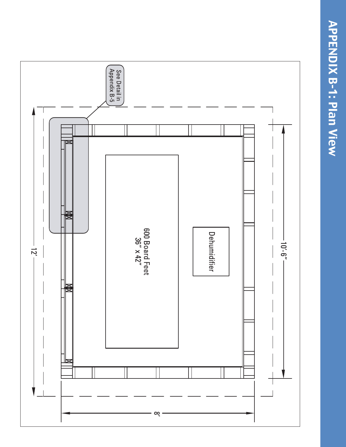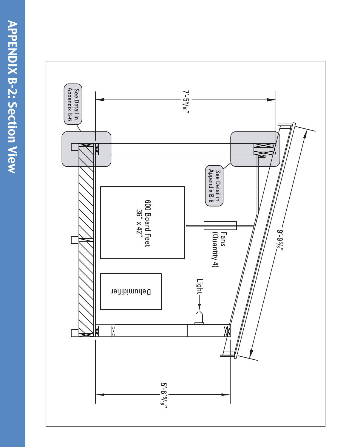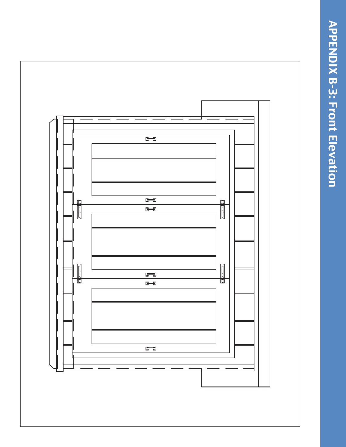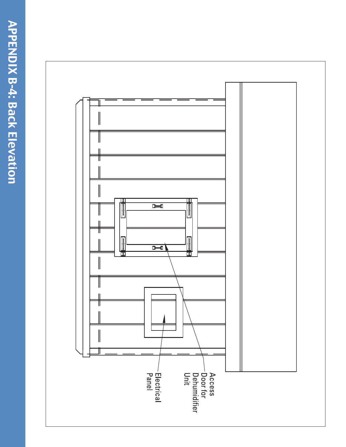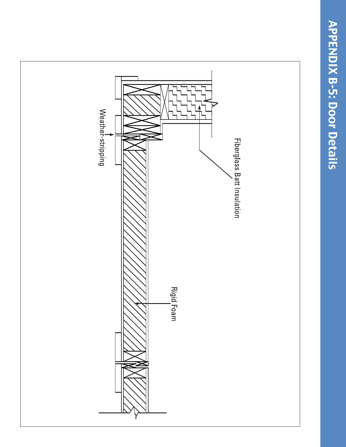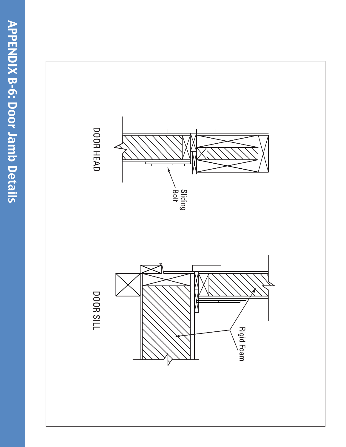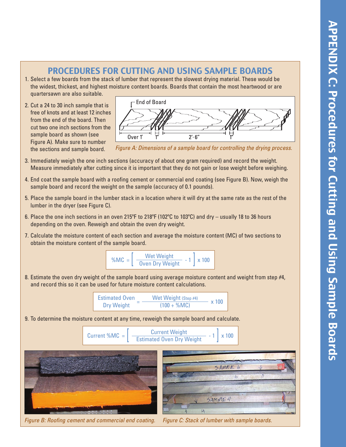#### PROCEDURES FOR CUTTING AND USING SAMPLE BOARDS

- 1. Select a few boards from the stack of lumber that represent the slowest drying material. These would be the widest, thickest, and highest moisture content boards. Boards that contain the most heartwood or are quartersawn are also suitable.
- 2. Cut a 24 to 30 inch sample that is free of knots and at least 12 inches from the end of the board. Then cut two one inch sections from the sample board as shown (see Figure A). Make sure to number the sections and sample board.



*Figure A: Dimensions of a sample board for controlling the drying process.*

- 3. Immediately weigh the one inch sections (accuracy of about one gram required) and record the weight. Measure immediately after cutting since it is important that they do not gain or lose weight before weighing.
- 4. End coat the sample board with a roofing cement or commercial end coating (see Figure B). Now, weigh the sample board and record the weight on the sample (accuracy of 0.1 pounds).
- 5. Place the sample board in the lumber stack in a location where it will dry at the same rate as the rest of the lumber in the dryer (see Figure C).
- 6. Place the one inch sections in an oven 215ºF to 218ºF (102ºC to 103ºC) and dry usually 18 to 36 hours depending on the oven. Reweigh and obtain the oven dry weight.
- 7. Calculate the moisture content of each section and average the moisture content (MC) of two sections to obtain the moisture content of the sample board.



8. Estimate the oven dry weight of the sample board using average moisture content and weight from step #4, and record this so it can be used for future moisture content calculations.

$$
\frac{\text{Estimated Owen}}{\text{Dry Weight}} = \frac{\text{Wet Weight (Step #4)}}{(100 + \%MC)} \times 100
$$

9. To determine the moisture content at any time, reweigh the sample board and calculate.







*Figure B: Roofing cement and commercial end coating. Figure C: Stack of lumber with sample boards.*